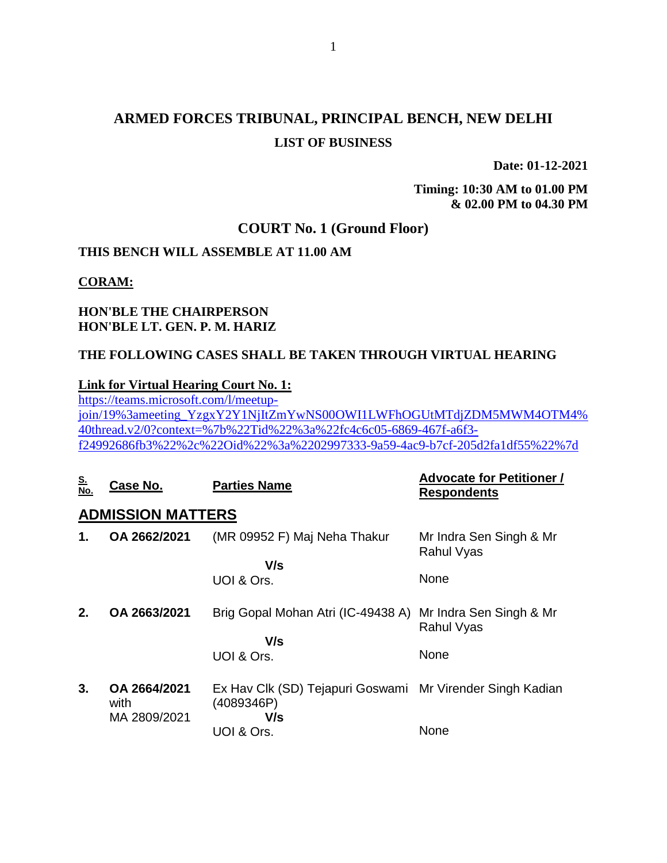## **ARMED FORCES TRIBUNAL, PRINCIPAL BENCH, NEW DELHI LIST OF BUSINESS**

**Date: 01-12-2021**

**Timing: 10:30 AM to 01.00 PM & 02.00 PM to 04.30 PM**

#### **COURT No. 1 (Ground Floor)**

#### **THIS BENCH WILL ASSEMBLE AT 11.00 AM**

#### **CORAM:**

#### **HON'BLE THE CHAIRPERSON HON'BLE LT. GEN. P. M. HARIZ**

#### **THE FOLLOWING CASES SHALL BE TAKEN THROUGH VIRTUAL HEARING**

#### **Link for Virtual Hearing Court No. 1:**

[https://teams.microsoft.com/l/meetup](https://teams.microsoft.com/l/meetup-join/19%3ameeting_YzgxY2Y1NjItZmYwNS00OWI1LWFhOGUtMTdjZDM5MWM4OTM4%40thread.v2/0?context=%7b%22Tid%22%3a%22fc4c6c05-6869-467f-a6f3-f24992686fb3%22%2c%22Oid%22%3a%2202997333-9a59-4ac9-b7cf-205d2fa1df55%22%7d)[join/19%3ameeting\\_YzgxY2Y1NjItZmYwNS00OWI1LWFhOGUtMTdjZDM5MWM4OTM4%](https://teams.microsoft.com/l/meetup-join/19%3ameeting_YzgxY2Y1NjItZmYwNS00OWI1LWFhOGUtMTdjZDM5MWM4OTM4%40thread.v2/0?context=%7b%22Tid%22%3a%22fc4c6c05-6869-467f-a6f3-f24992686fb3%22%2c%22Oid%22%3a%2202997333-9a59-4ac9-b7cf-205d2fa1df55%22%7d) [40thread.v2/0?context=%7b%22Tid%22%3a%22fc4c6c05-6869-467f-a6f3](https://teams.microsoft.com/l/meetup-join/19%3ameeting_YzgxY2Y1NjItZmYwNS00OWI1LWFhOGUtMTdjZDM5MWM4OTM4%40thread.v2/0?context=%7b%22Tid%22%3a%22fc4c6c05-6869-467f-a6f3-f24992686fb3%22%2c%22Oid%22%3a%2202997333-9a59-4ac9-b7cf-205d2fa1df55%22%7d) [f24992686fb3%22%2c%22Oid%22%3a%2202997333-9a59-4ac9-b7cf-205d2fa1df55%22%7d](https://teams.microsoft.com/l/meetup-join/19%3ameeting_YzgxY2Y1NjItZmYwNS00OWI1LWFhOGUtMTdjZDM5MWM4OTM4%40thread.v2/0?context=%7b%22Tid%22%3a%22fc4c6c05-6869-467f-a6f3-f24992686fb3%22%2c%22Oid%22%3a%2202997333-9a59-4ac9-b7cf-205d2fa1df55%22%7d)

| <u>S.<br/>No.</u> | Case No.                             | <b>Parties Name</b>                                                            | <b>Advocate for Petitioner /</b><br><b>Respondents</b> |
|-------------------|--------------------------------------|--------------------------------------------------------------------------------|--------------------------------------------------------|
|                   | <b>ADMISSION MATTERS</b>             |                                                                                |                                                        |
| 1.                | OA 2662/2021                         | (MR 09952 F) Maj Neha Thakur                                                   | Mr Indra Sen Singh & Mr<br>Rahul Vyas                  |
|                   |                                      | V/s<br>UOI & Ors.                                                              | None                                                   |
| 2.                | OA 2663/2021                         | Brig Gopal Mohan Atri (IC-49438 A)<br>V/s                                      | Mr Indra Sen Singh & Mr<br>Rahul Vyas                  |
|                   |                                      | UOI & Ors.                                                                     | None                                                   |
| 3.                | OA 2664/2021<br>with<br>MA 2809/2021 | Ex Hav Clk (SD) Tejapuri Goswami Mr Virender Singh Kadian<br>(4089346P)<br>V/s |                                                        |
|                   |                                      | UOI & Ors.                                                                     | None                                                   |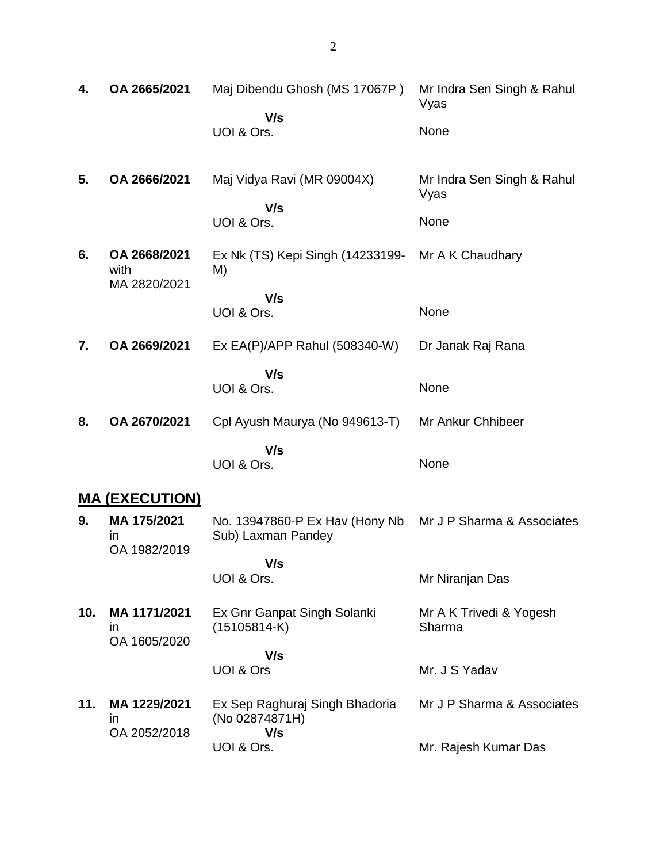| 4.  | OA 2665/2021                             | Maj Dibendu Ghosh (MS 17067P)<br>V/s                    | Mr Indra Sen Singh & Rahul<br>Vyas |
|-----|------------------------------------------|---------------------------------------------------------|------------------------------------|
|     |                                          | UOI & Ors.                                              | None                               |
| 5.  | OA 2666/2021                             | Maj Vidya Ravi (MR 09004X)                              | Mr Indra Sen Singh & Rahul<br>Vyas |
|     |                                          | V/s<br>UOI & Ors.                                       | None                               |
| 6.  | OA 2668/2021<br>with<br>MA 2820/2021     | Ex Nk (TS) Kepi Singh (14233199-<br>M)                  | Mr A K Chaudhary                   |
|     |                                          | V/s<br>UOI & Ors.                                       | None                               |
| 7.  | OA 2669/2021                             | Ex EA(P)/APP Rahul (508340-W)                           | Dr Janak Raj Rana                  |
|     |                                          | V/s<br>UOI & Ors.                                       | None                               |
| 8.  | OA 2670/2021                             | Cpl Ayush Maurya (No 949613-T)                          | Mr Ankur Chhibeer                  |
|     |                                          | V/s<br>UOI & Ors.                                       | None                               |
|     | <u>MA (EXECUTION)</u>                    |                                                         |                                    |
| 9.  | MA 175/2021<br><i>in</i><br>OA 1982/2019 | No. 13947860-P Ex Hav (Hony Nb<br>Sub) Laxman Pandey    | Mr J P Sharma & Associates         |
|     |                                          | V/s<br>UOI & Ors.                                       | Mr Niranjan Das                    |
| 10. | MA 1171/2021<br>ın<br>OA 1605/2020       | Ex Gnr Ganpat Singh Solanki<br>$(15105814-K)$           | Mr A K Trivedi & Yogesh<br>Sharma  |
|     |                                          | V/s                                                     |                                    |
|     |                                          | UOI & Ors                                               | Mr. J S Yadav                      |
| 11. | MA 1229/2021<br>ın<br>OA 2052/2018       | Ex Sep Raghuraj Singh Bhadoria<br>(No 02874871H)<br>V/s | Mr J P Sharma & Associates         |
|     |                                          | UOI & Ors.                                              | Mr. Rajesh Kumar Das               |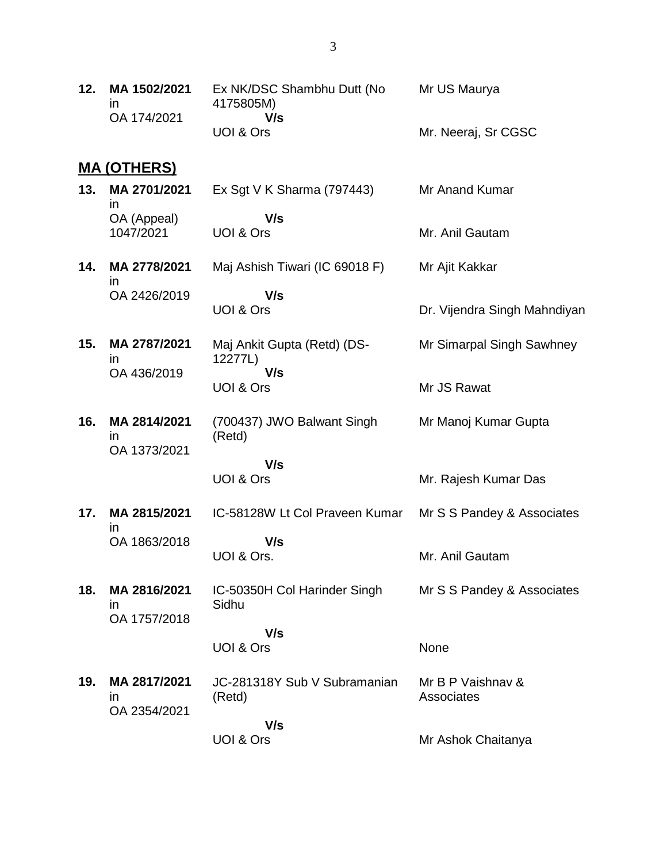| 12. | MA 1502/2021<br>in.<br>OA 174/2021 | Ex NK/DSC Shambhu Dutt (No<br>4175805M)<br>V/s | Mr US Maurya                    |
|-----|------------------------------------|------------------------------------------------|---------------------------------|
|     |                                    | UOI & Ors                                      | Mr. Neeraj, Sr CGSC             |
|     | <u>MA (OTHERS)</u>                 |                                                |                                 |
| 13. | MA 2701/2021<br>in.                | Ex Sgt V K Sharma $(797443)$                   | Mr Anand Kumar                  |
|     | OA (Appeal)<br>1047/2021           | V/s<br>UOI & Ors                               | Mr. Anil Gautam                 |
| 14. | MA 2778/2021<br>ın                 | Maj Ashish Tiwari (IC 69018 F)                 | Mr Ajit Kakkar                  |
|     | OA 2426/2019                       | V/s<br>UOI & Ors                               | Dr. Vijendra Singh Mahndiyan    |
| 15. | MA 2787/2021<br>ın                 | Maj Ankit Gupta (Retd) (DS-<br>12277L)         | Mr Simarpal Singh Sawhney       |
|     | OA 436/2019                        | V/s<br>UOI & Ors                               | Mr JS Rawat                     |
| 16. | MA 2814/2021<br>ın                 | (700437) JWO Balwant Singh<br>(Retd)           | Mr Manoj Kumar Gupta            |
|     | OA 1373/2021                       | V/s                                            |                                 |
|     |                                    | UOI & Ors                                      | Mr. Rajesh Kumar Das            |
| 17. | MA 2815/2021<br>ın                 | IC-58128W Lt Col Praveen Kumar                 | Mr S S Pandey & Associates      |
|     | OA 1863/2018                       | V/s<br>UOI & Ors.                              | Mr. Anil Gautam                 |
| 18. | MA 2816/2021<br>in.                | IC-50350H Col Harinder Singh<br>Sidhu          | Mr S S Pandey & Associates      |
|     | OA 1757/2018                       | V/s                                            |                                 |
|     |                                    | UOI & Ors                                      | None                            |
| 19. | MA 2817/2021<br>in.                | JC-281318Y Sub V Subramanian<br>(Retd)         | Mr B P Vaishnav &<br>Associates |
|     | OA 2354/2021                       | V/s<br>UOI & Ors                               | Mr Ashok Chaitanya              |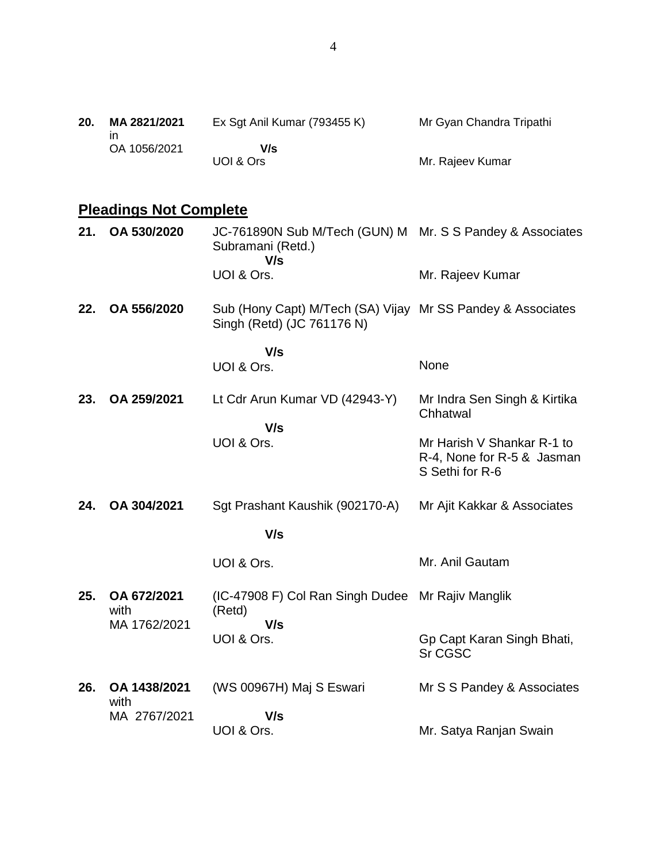| 20. | MA 2821/2021 | Ex Sgt Anil Kumar (793455 K) | Mr Gyan Chandra Tripathi |
|-----|--------------|------------------------------|--------------------------|
|     | OA 1056/2021 | V/s                          |                          |
|     |              | UOI & Ors                    | Mr. Rajeev Kumar         |

# **Pleadings Not Complete**

| 21. | OA 530/2020                         | JC-761890N Sub M/Tech (GUN) M Mr. S S Pandey & Associates<br>Subramani (Retd.)<br>V/s     |                                                                             |
|-----|-------------------------------------|-------------------------------------------------------------------------------------------|-----------------------------------------------------------------------------|
|     |                                     | UOI & Ors.                                                                                | Mr. Rajeev Kumar                                                            |
| 22. | OA 556/2020                         | Sub (Hony Capt) M/Tech (SA) Vijay Mr SS Pandey & Associates<br>Singh (Retd) (JC 761176 N) |                                                                             |
|     |                                     | V/s<br>UOI & Ors.                                                                         | None                                                                        |
| 23. | OA 259/2021                         | Lt Cdr Arun Kumar VD (42943-Y)                                                            | Mr Indra Sen Singh & Kirtika<br>Chhatwal                                    |
|     |                                     | V/s<br>UOI & Ors.                                                                         | Mr Harish V Shankar R-1 to<br>R-4, None for R-5 & Jasman<br>S Sethi for R-6 |
| 24. | OA 304/2021                         | Sgt Prashant Kaushik (902170-A)                                                           | Mr Ajit Kakkar & Associates                                                 |
|     |                                     | V/s                                                                                       |                                                                             |
|     |                                     | UOI & Ors.                                                                                | Mr. Anil Gautam                                                             |
| 25. | OA 672/2021<br>with<br>MA 1762/2021 | (IC-47908 F) Col Ran Singh Dudee Mr Rajiv Manglik<br>(Retd)<br>V/s                        |                                                                             |
|     |                                     | UOI & Ors.                                                                                | Gp Capt Karan Singh Bhati,<br>Sr CGSC                                       |
| 26. | OA 1438/2021<br>with                | (WS 00967H) Maj S Eswari                                                                  | Mr S S Pandey & Associates                                                  |
|     | MA 2767/2021                        | V/s<br>UOI & Ors.                                                                         | Mr. Satya Ranjan Swain                                                      |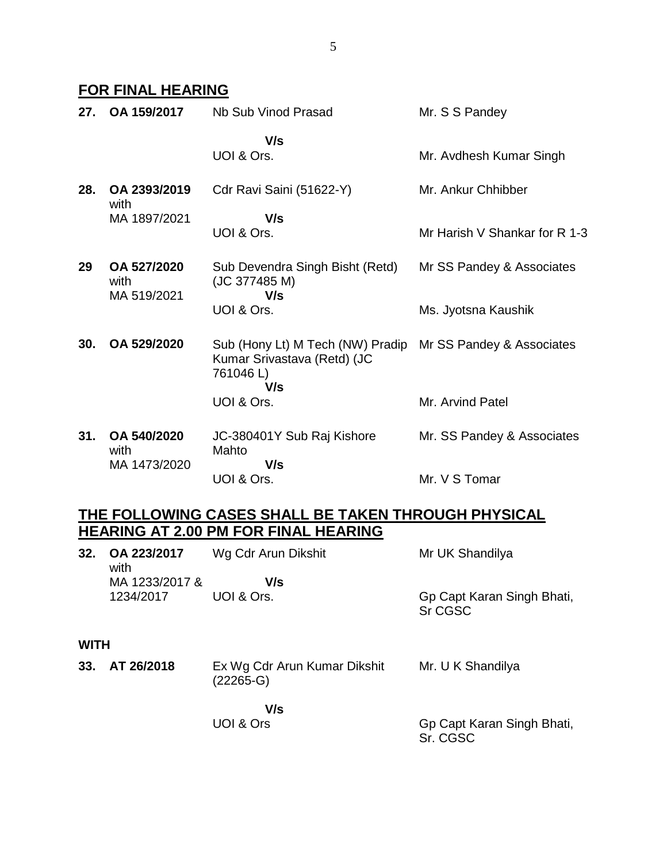### **FOR FINAL HEARING**

| 27. | OA 159/2017                        | Nb Sub Vinod Prasad                                                                | Mr. S S Pandey                |
|-----|------------------------------------|------------------------------------------------------------------------------------|-------------------------------|
|     |                                    | V/s<br>UOI & Ors.                                                                  | Mr. Avdhesh Kumar Singh       |
| 28. | OA 2393/2019<br>with               | Cdr Ravi Saini (51622-Y)                                                           | Mr. Ankur Chhibber            |
|     | MA 1897/2021                       | V/s<br>UOI & Ors.                                                                  | Mr Harish V Shankar for R 1-3 |
| 29  | OA 527/2020<br>with<br>MA 519/2021 | Sub Devendra Singh Bisht (Retd)<br>(JC 377485 M)<br>V/s                            | Mr SS Pandey & Associates     |
|     |                                    | UOI & Ors.                                                                         | Ms. Jyotsna Kaushik           |
| 30. | OA 529/2020                        | Sub (Hony Lt) M Tech (NW) Pradip<br>Kumar Srivastava (Retd) (JC<br>761046L)<br>V/s | Mr SS Pandey & Associates     |
|     |                                    | UOI & Ors.                                                                         | Mr. Arvind Patel              |
| 31. | OA 540/2020<br>with                | JC-380401Y Sub Raj Kishore<br>Mahto<br>V/s                                         | Mr. SS Pandey & Associates    |
|     | MA 1473/2020                       | UOI & Ors.                                                                         | Mr. V S Tomar                 |

## **THE FOLLOWING CASES SHALL BE TAKEN THROUGH PHYSICAL HEARING AT 2.00 PM FOR FINAL HEARING**

| 32.         | OA 223/2017<br>with | Wg Cdr Arun Dikshit                         | Mr UK Shandilya                       |
|-------------|---------------------|---------------------------------------------|---------------------------------------|
|             | MA 1233/2017 &      | V/s                                         |                                       |
|             | 1234/2017           | UOI & Ors.                                  | Gp Capt Karan Singh Bhati,<br>Sr CGSC |
| <b>WITH</b> |                     |                                             |                                       |
| 33.         | AT 26/2018          | Ex Wg Cdr Arun Kumar Dikshit<br>$(22265-G)$ | Mr. U K Shandilya                     |

 **V/s** UOI & Ors

Gp Capt Karan Singh Bhati, Sr. CGSC